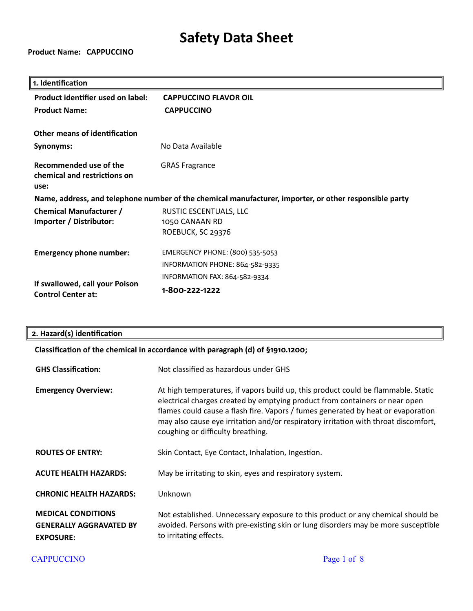**Product Name: CAPPUCCINO**

| 1. Identification                                              |                                                                                                        |
|----------------------------------------------------------------|--------------------------------------------------------------------------------------------------------|
| Product identifier used on label:                              | <b>CAPPUCCINO FLAVOR OIL</b>                                                                           |
| <b>Product Name:</b>                                           | <b>CAPPUCCINO</b>                                                                                      |
| <b>Other means of identification</b>                           |                                                                                                        |
|                                                                |                                                                                                        |
| Synonyms:                                                      | No Data Available                                                                                      |
| Recommended use of the<br>chemical and restrictions on<br>use: | <b>GRAS Fragrance</b>                                                                                  |
|                                                                | Name, address, and telephone number of the chemical manufacturer, importer, or other responsible party |
| <b>Chemical Manufacturer /</b>                                 | RUSTIC ESCENTUALS, LLC                                                                                 |
| Importer / Distributor:                                        | 1050 CANAAN RD                                                                                         |
|                                                                | ROEBUCK, SC 29376                                                                                      |
| <b>Emergency phone number:</b>                                 | EMERGENCY PHONE: (800) 535-5053                                                                        |
|                                                                | INFORMATION PHONE: 864-582-9335                                                                        |
|                                                                | INFORMATION FAX: 864-582-9334                                                                          |
| If swallowed, call your Poison<br><b>Control Center at:</b>    | 1-800-222-1222                                                                                         |

|  | 2. Hazard(s) identification |
|--|-----------------------------|
|--|-----------------------------|

### **Classification of the chemical in accordance with paragraph (d) of §1910.1200;**

| <b>GHS Classification:</b>                                                      | Not classified as hazardous under GHS                                                                                                                                                                                                                                                                                                                                            |
|---------------------------------------------------------------------------------|----------------------------------------------------------------------------------------------------------------------------------------------------------------------------------------------------------------------------------------------------------------------------------------------------------------------------------------------------------------------------------|
| <b>Emergency Overview:</b>                                                      | At high temperatures, if vapors build up, this product could be flammable. Static<br>electrical charges created by emptying product from containers or near open<br>flames could cause a flash fire. Vapors / fumes generated by heat or evaporation<br>may also cause eye irritation and/or respiratory irritation with throat discomfort,<br>coughing or difficulty breathing. |
| <b>ROUTES OF ENTRY:</b>                                                         | Skin Contact, Eye Contact, Inhalation, Ingestion.                                                                                                                                                                                                                                                                                                                                |
| <b>ACUTE HEALTH HAZARDS:</b>                                                    | May be irritating to skin, eyes and respiratory system.                                                                                                                                                                                                                                                                                                                          |
| <b>CHRONIC HEALTH HAZARDS:</b>                                                  | Unknown                                                                                                                                                                                                                                                                                                                                                                          |
| <b>MEDICAL CONDITIONS</b><br><b>GENERALLY AGGRAVATED BY</b><br><b>EXPOSURE:</b> | Not established. Unnecessary exposure to this product or any chemical should be<br>avoided. Persons with pre-existing skin or lung disorders may be more susceptible<br>to irritating effects.                                                                                                                                                                                   |

CAPPUCCINO Page 1 of 8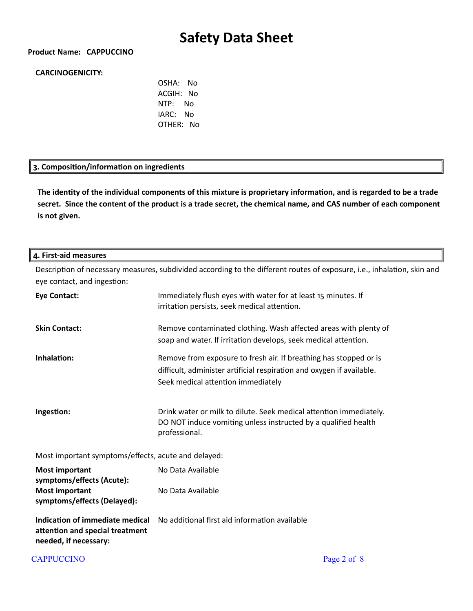#### **Product Name: CAPPUCCINO**

#### **CARCINOGENICITY:**

OSHA: No ACGIH: No NTP: No IARC: No OTHER: No

#### **3. Composition/information on ingredients**

**The identity of the individual components of this mixture is proprietary information, and is regarded to be a trade secret. Since the content of the product is a trade secret, the chemical name, and CAS number of each component is not given.**

#### **4. First-aid measures**

Description of necessary measures, subdivided according to the different routes of exposure, i.e., inhalation, skin and eye contact, and ingestion:

| <b>Eye Contact:</b>                                                                         | Immediately flush eyes with water for at least 15 minutes. If<br>irritation persists, seek medical attention.                                                                    |  |
|---------------------------------------------------------------------------------------------|----------------------------------------------------------------------------------------------------------------------------------------------------------------------------------|--|
| <b>Skin Contact:</b>                                                                        | Remove contaminated clothing. Wash affected areas with plenty of<br>soap and water. If irritation develops, seek medical attention.                                              |  |
| Inhalation:                                                                                 | Remove from exposure to fresh air. If breathing has stopped or is<br>difficult, administer artificial respiration and oxygen if available.<br>Seek medical attention immediately |  |
| Ingestion:                                                                                  | Drink water or milk to dilute. Seek medical attention immediately.<br>DO NOT induce vomiting unless instructed by a qualified health<br>professional.                            |  |
| Most important symptoms/effects, acute and delayed:                                         |                                                                                                                                                                                  |  |
| <b>Most important</b><br>symptoms/effects (Acute):                                          | No Data Available                                                                                                                                                                |  |
| <b>Most important</b><br>symptoms/effects (Delayed):                                        | No Data Available                                                                                                                                                                |  |
| Indication of immediate medical<br>attention and special treatment<br>needed, if necessary: | No additional first aid information available                                                                                                                                    |  |

#### CAPPUCCINO Page 2 of 8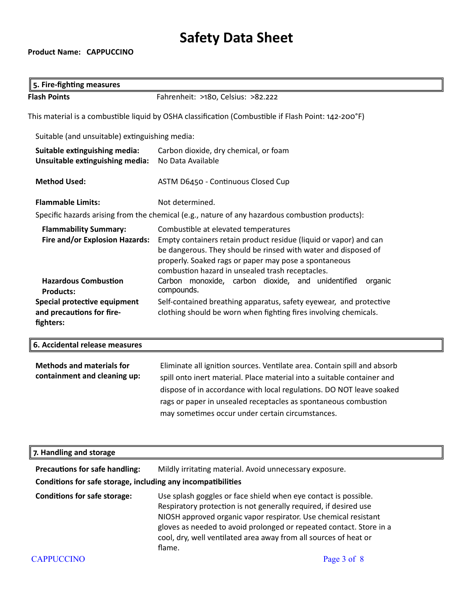### **Product Name: CAPPUCCINO**

 $\sqrt{\phantom{a}}$ 

| 5. Fire-fighting measures                                                                            |                                                                                                                                                                                                                                                                                                                                                    |  |
|------------------------------------------------------------------------------------------------------|----------------------------------------------------------------------------------------------------------------------------------------------------------------------------------------------------------------------------------------------------------------------------------------------------------------------------------------------------|--|
| <b>Flash Points</b>                                                                                  | Fahrenheit: >180, Celsius: >82.222                                                                                                                                                                                                                                                                                                                 |  |
| This material is a combustible liquid by OSHA classification (Combustible if Flash Point: 142-200°F) |                                                                                                                                                                                                                                                                                                                                                    |  |
| Suitable (and unsuitable) extinguishing media:                                                       |                                                                                                                                                                                                                                                                                                                                                    |  |
| Suitable extinguishing media:<br>Unsuitable extinguishing media:                                     | Carbon dioxide, dry chemical, or foam<br>No Data Available                                                                                                                                                                                                                                                                                         |  |
| <b>Method Used:</b>                                                                                  | ASTM D6450 - Continuous Closed Cup                                                                                                                                                                                                                                                                                                                 |  |
| <b>Flammable Limits:</b>                                                                             | Not determined.                                                                                                                                                                                                                                                                                                                                    |  |
| Specific hazards arising from the chemical (e.g., nature of any hazardous combustion products):      |                                                                                                                                                                                                                                                                                                                                                    |  |
| <b>Flammability Summary:</b><br><b>Fire and/or Explosion Hazards:</b>                                | Combustible at elevated temperatures<br>Empty containers retain product residue (liquid or vapor) and can<br>be dangerous. They should be rinsed with water and disposed of<br>properly. Soaked rags or paper may pose a spontaneous<br>combustion hazard in unsealed trash receptacles.                                                           |  |
| <b>Hazardous Combustion</b><br><b>Products:</b>                                                      | Carbon monoxide, carbon dioxide, and unidentified<br>organic<br>compounds.                                                                                                                                                                                                                                                                         |  |
| Special protective equipment<br>and precautions for fire-<br>fighters:                               | Self-contained breathing apparatus, safety eyewear, and protective<br>clothing should be worn when fighting fires involving chemicals.                                                                                                                                                                                                             |  |
| 6. Accidental release measures                                                                       |                                                                                                                                                                                                                                                                                                                                                    |  |
| <b>Methods and materials for</b><br>containment and cleaning up:                                     | Eliminate all ignition sources. Ventilate area. Contain spill and absorb<br>spill onto inert material. Place material into a suitable container and<br>dispose of in accordance with local regulations. DO NOT leave soaked<br>rags or paper in unsealed receptacles as spontaneous combustion<br>may sometimes occur under certain circumstances. |  |

| 7. Handling and storage                                                                               |                                                                                                                                                                                                                                                                                                                                                             |
|-------------------------------------------------------------------------------------------------------|-------------------------------------------------------------------------------------------------------------------------------------------------------------------------------------------------------------------------------------------------------------------------------------------------------------------------------------------------------------|
| <b>Precautions for safe handling:</b><br>Conditions for safe storage, including any incompatibilities | Mildly irritating material. Avoid unnecessary exposure.                                                                                                                                                                                                                                                                                                     |
| <b>Conditions for safe storage:</b>                                                                   | Use splash goggles or face shield when eye contact is possible.<br>Respiratory protection is not generally required, if desired use<br>NIOSH approved organic vapor respirator. Use chemical resistant<br>gloves as needed to avoid prolonged or repeated contact. Store in a<br>cool, dry, well ventilated area away from all sources of heat or<br>flame. |
| <b>CAPPUCCINO</b>                                                                                     | Page 3 of 8                                                                                                                                                                                                                                                                                                                                                 |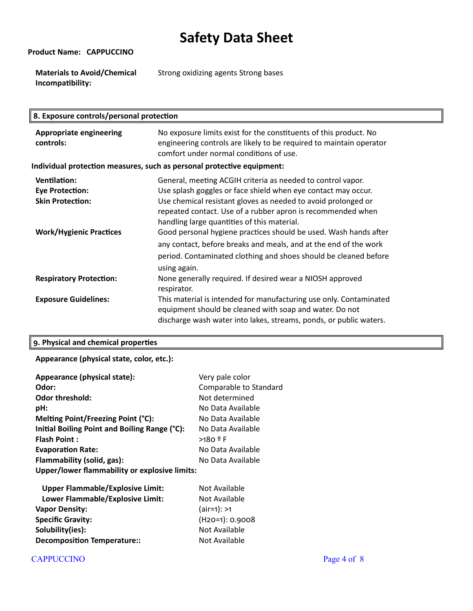**Product Name: CAPPUCCINO**

**Materials to Avoid/Chemical Incompatibility:** Strong oxidizing agents Strong bases

| 8. Exposure controls/personal protection                                 |                                                                                                                                                                                                                                                                                                             |  |
|--------------------------------------------------------------------------|-------------------------------------------------------------------------------------------------------------------------------------------------------------------------------------------------------------------------------------------------------------------------------------------------------------|--|
| <b>Appropriate engineering</b><br>controls:                              | No exposure limits exist for the constituents of this product. No<br>engineering controls are likely to be required to maintain operator<br>comfort under normal conditions of use.                                                                                                                         |  |
| Individual protection measures, such as personal protective equipment:   |                                                                                                                                                                                                                                                                                                             |  |
| <b>Ventilation:</b><br><b>Eye Protection:</b><br><b>Skin Protection:</b> | General, meeting ACGIH criteria as needed to control vapor.<br>Use splash goggles or face shield when eye contact may occur.<br>Use chemical resistant gloves as needed to avoid prolonged or<br>repeated contact. Use of a rubber apron is recommended when<br>handling large quantities of this material. |  |
| <b>Work/Hygienic Practices</b>                                           | Good personal hygiene practices should be used. Wash hands after<br>any contact, before breaks and meals, and at the end of the work<br>period. Contaminated clothing and shoes should be cleaned before<br>using again.                                                                                    |  |
| <b>Respiratory Protection:</b>                                           | None generally required. If desired wear a NIOSH approved<br>respirator.                                                                                                                                                                                                                                    |  |
| <b>Exposure Guidelines:</b>                                              | This material is intended for manufacturing use only. Contaminated<br>equipment should be cleaned with soap and water. Do not<br>discharge wash water into lakes, streams, ponds, or public waters.                                                                                                         |  |

### **9. Physical and chemical properties**

**Appearance (physical state, color, etc.):**

| Appearance (physical state):                  | Very pale color        |
|-----------------------------------------------|------------------------|
| Odor:                                         | Comparable to Standard |
| <b>Odor threshold:</b>                        | Not determined         |
| pH:                                           | No Data Available      |
| Melting Point/Freezing Point (°C):            | No Data Available      |
| Initial Boiling Point and Boiling Range (°C): | No Data Available      |
| <b>Flash Point:</b>                           | $>180$ º F             |
| <b>Evaporation Rate:</b>                      | No Data Available      |
| Flammability (solid, gas):                    | No Data Available      |
| Upper/lower flammability or explosive limits: |                        |
| <b>Upper Flammable/Explosive Limit:</b>       | Not Available          |
| Lower Flammable/Explosive Limit:              | Not Available          |
| <i><b>Manar Dancitus</b></i>                  | $\{rightarrow\}$       |

| <b>Vapor Density:</b>              | $(air=1): >1$     |
|------------------------------------|-------------------|
| <b>Specific Gravity:</b>           | $(H20=1): 0.9008$ |
| Solubility(ies):                   | Not Available     |
| <b>Decomposition Temperature::</b> | Not Available     |

### CAPPUCCINO Page 4 of 8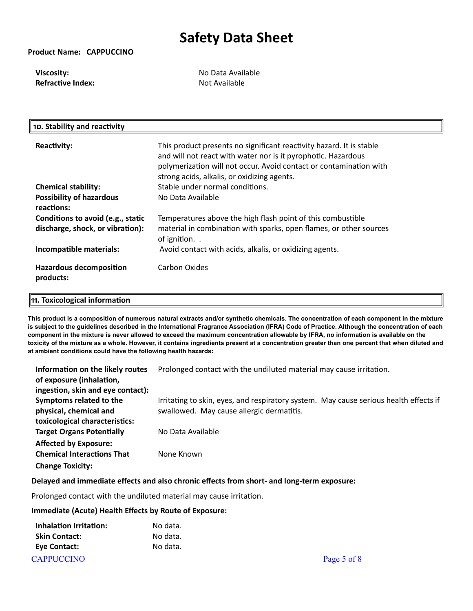#### **Product Name: CAPPUCCINO**

**Viscosity: No Data Available Refractive Index:** Not Available

| 10. Stability and reactivity                                          |                                                                                                                                                                                                                                                            |
|-----------------------------------------------------------------------|------------------------------------------------------------------------------------------------------------------------------------------------------------------------------------------------------------------------------------------------------------|
| <b>Reactivity:</b>                                                    | This product presents no significant reactivity hazard. It is stable<br>and will not react with water nor is it pyrophotic. Hazardous<br>polymerization will not occur. Avoid contact or contamination with<br>strong acids, alkalis, or oxidizing agents. |
| <b>Chemical stability:</b>                                            | Stable under normal conditions.                                                                                                                                                                                                                            |
| <b>Possibility of hazardous</b><br>reactions:                         | No Data Available                                                                                                                                                                                                                                          |
| Conditions to avoid (e.g., static<br>discharge, shock, or vibration): | Temperatures above the high flash point of this combustible<br>material in combination with sparks, open flames, or other sources<br>of ignition                                                                                                           |
| Incompatible materials:                                               | Avoid contact with acids, alkalis, or oxidizing agents.                                                                                                                                                                                                    |
| <b>Hazardous decomposition</b><br>products:                           | Carbon Oxides                                                                                                                                                                                                                                              |

#### **11. Toxicological information**

**This product is a composition of numerous natural extracts and/or synthetic chemicals. The concentration of each component in the mixture is subject to the guidelines described in the International Fragrance Association (IFRA) Code of Practice. Although the concentration of each component in the mixture is never allowed to exceed the maximum concentration allowable by IFRA, no information is available on the toxicity of the mixture as a whole. However, it contains ingredients present at a concentration greater than one percent that when diluted and at ambient conditions could have the following health hazards:**

| Information on the likely routes<br>of exposure (inhalation,<br>ingestion, skin and eye contact): | Prolonged contact with the undiluted material may cause irritation.                                                                |
|---------------------------------------------------------------------------------------------------|------------------------------------------------------------------------------------------------------------------------------------|
| Symptoms related to the<br>physical, chemical and<br>toxicological characteristics:               | Irritating to skin, eyes, and respiratory system. May cause serious health effects if<br>swallowed. May cause allergic dermatitis. |
| <b>Target Organs Potentially</b>                                                                  | No Data Available                                                                                                                  |
| <b>Affected by Exposure:</b><br><b>Chemical Interactions That</b><br><b>Change Toxicity:</b>      | None Known                                                                                                                         |

#### **Delayed and immediate effects and also chronic effects from short- and long-term exposure:**

Prolonged contact with the undiluted material may cause irritation.

#### **Immediate (Acute) Health Effects by Route of Exposure:**

| Inhalation Irritation:      | No data. |
|-----------------------------|----------|
| <b>Skin Contact:</b>        | No data. |
| <b>Eve Contact:</b>         | No data. |
| $\mathbf{r}$ , ppt to other |          |

#### CAPPUCCINO Page 5 of 8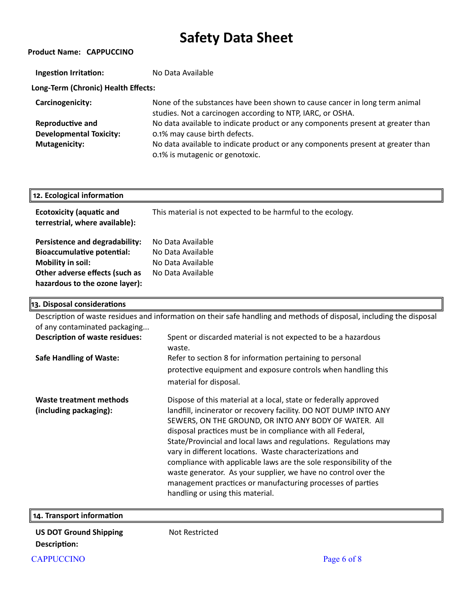| <b>Product Name: CAPPUCCINO</b>     |                                                                                                                                          |  |  |
|-------------------------------------|------------------------------------------------------------------------------------------------------------------------------------------|--|--|
| <b>Ingestion Irritation:</b>        | No Data Available                                                                                                                        |  |  |
| Long-Term (Chronic) Health Effects: |                                                                                                                                          |  |  |
| Carcinogenicity:                    | None of the substances have been shown to cause cancer in long term animal<br>studies. Not a carcinogen according to NTP, IARC, or OSHA. |  |  |
| <b>Reproductive and</b>             | No data available to indicate product or any components present at greater than                                                          |  |  |
| <b>Developmental Toxicity:</b>      | 0.1% may cause birth defects.                                                                                                            |  |  |
| Mutagenicity:                       | No data available to indicate product or any components present at greater than<br>0.1% is mutagenic or genotoxic.                       |  |  |

| 12. Ecological information                                                                                                                                   |                                                                                  |
|--------------------------------------------------------------------------------------------------------------------------------------------------------------|----------------------------------------------------------------------------------|
| <b>Ecotoxicity (aquatic and</b><br>terrestrial, where available):                                                                                            | This material is not expected to be harmful to the ecology.                      |
| Persistence and degradability:<br><b>Bioaccumulative potential:</b><br>Mobility in soil:<br>Other adverse effects (such as<br>hazardous to the ozone layer): | No Data Available<br>No Data Available<br>No Data Available<br>No Data Available |

| 13. Disposal considerations                       |                                                                                                                                                                                                                                                                                                                                                                                                                                                                                                                                                                                                                                       |
|---------------------------------------------------|---------------------------------------------------------------------------------------------------------------------------------------------------------------------------------------------------------------------------------------------------------------------------------------------------------------------------------------------------------------------------------------------------------------------------------------------------------------------------------------------------------------------------------------------------------------------------------------------------------------------------------------|
|                                                   | Description of waste residues and information on their safe handling and methods of disposal, including the disposal                                                                                                                                                                                                                                                                                                                                                                                                                                                                                                                  |
| of any contaminated packaging                     |                                                                                                                                                                                                                                                                                                                                                                                                                                                                                                                                                                                                                                       |
| <b>Description of waste residues:</b>             | Spent or discarded material is not expected to be a hazardous<br>waste.                                                                                                                                                                                                                                                                                                                                                                                                                                                                                                                                                               |
| <b>Safe Handling of Waste:</b>                    | Refer to section 8 for information pertaining to personal                                                                                                                                                                                                                                                                                                                                                                                                                                                                                                                                                                             |
|                                                   | protective equipment and exposure controls when handling this<br>material for disposal.                                                                                                                                                                                                                                                                                                                                                                                                                                                                                                                                               |
| Waste treatment methods<br>(including packaging): | Dispose of this material at a local, state or federally approved<br>landfill, incinerator or recovery facility. DO NOT DUMP INTO ANY<br>SEWERS, ON THE GROUND, OR INTO ANY BODY OF WATER. All<br>disposal practices must be in compliance with all Federal,<br>State/Provincial and local laws and regulations. Regulations may<br>vary in different locations. Waste characterizations and<br>compliance with applicable laws are the sole responsibility of the<br>waste generator. As your supplier, we have no control over the<br>management practices or manufacturing processes of parties<br>handling or using this material. |

| 14. Transport information     |                |  |
|-------------------------------|----------------|--|
| <b>US DOT Ground Shipping</b> | Not Restricted |  |

**US DOT Ground Shipping Description:** 

CAPPUCCINO Page 6 of 8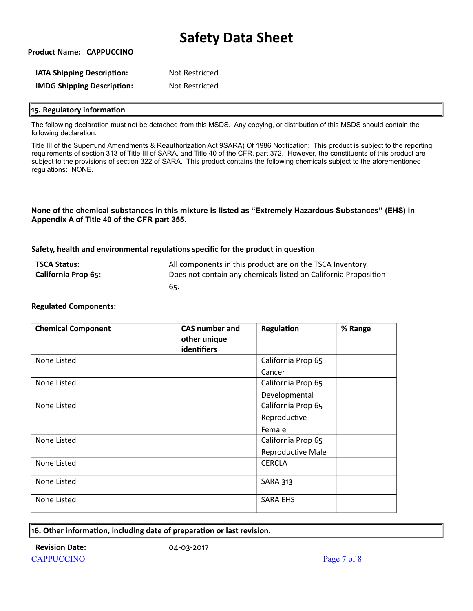**Product Name: CAPPUCCINO**

| <b>IATA Shipping Description:</b> | Not Restricted |
|-----------------------------------|----------------|
| <b>IMDG Shipping Description:</b> | Not Restricted |

#### **15. Regulatory information**

The following declaration must not be detached from this MSDS. Any copying, or distribution of this MSDS should contain the following declaration:

Title III of the Superfund Amendments & Reauthorization Act 9SARA) Of 1986 Notification: This product is subject to the reporting requirements of section 313 of Title III of SARA, and Title 40 of the CFR, part 372. However, the constituents of this product are subject to the provisions of section 322 of SARA. This product contains the following chemicals subject to the aforementioned regulations: NONE.

#### **None of the chemical substances in this mixture is listed as "Extremely Hazardous Substances" (EHS) in Appendix A of Title 40 of the CFR part 355.**

#### **Safety, health and environmental regulations specific for the product in question**

| <b>TSCA Status:</b>        | All components in this product are on the TSCA Inventory.       |
|----------------------------|-----------------------------------------------------------------|
| <b>California Prop 65:</b> | Does not contain any chemicals listed on California Proposition |
|                            | -65.                                                            |

| <b>Chemical Component</b> | <b>CAS number and</b><br>other unique<br>identifiers | Regulation               | % Range |
|---------------------------|------------------------------------------------------|--------------------------|---------|
| None Listed               |                                                      | California Prop 65       |         |
|                           |                                                      | Cancer                   |         |
| None Listed               |                                                      | California Prop 65       |         |
|                           |                                                      | Developmental            |         |
| None Listed               |                                                      | California Prop 65       |         |
|                           |                                                      | Reproductive             |         |
|                           |                                                      | Female                   |         |
| None Listed               |                                                      | California Prop 65       |         |
|                           |                                                      | <b>Reproductive Male</b> |         |
| None Listed               |                                                      | <b>CERCLA</b>            |         |
| None Listed               |                                                      | <b>SARA 313</b>          |         |
| None Listed               |                                                      | <b>SARA EHS</b>          |         |

#### **Regulated Components:**

#### **16. Other information, including date of preparation or last revision.**